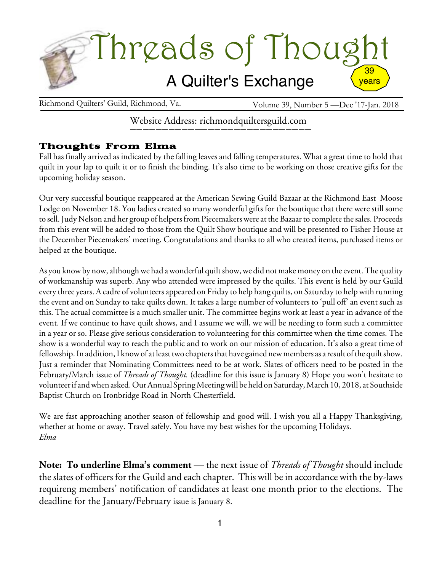

Richmond Quilters' Guild, Richmond, Va. Volume 39, Number 5 —Dec '17-Jan. 2018

Website Address: richmondquiltersguild.com

# Thoughts From Elma

Fall has finally arrived as indicated by the falling leaves and falling temperatures. What a great time to hold that quilt in your lap to quilt it or to finish the binding. It's also time to be working on those creative gifts for the upcoming holiday season.

Our very successful boutique reappeared at the American Sewing Guild Bazaar at the Richmond East Moose Lodge on November 18. You ladies created so many wonderful gifts for the boutique that there were still some to sell. Judy Nelson and her group of helpers from Piecemakers were at the Bazaar to complete the sales. Proceeds from this event will be added to those from the Quilt Show boutique and will be presented to Fisher House at the December Piecemakers' meeting. Congratulations and thanks to all who created items, purchased items or helped at the boutique.

As you know by now, although we had a wonderful quilt show, we did not make money on the event. The quality of workmanship was superb. Any who attended were impressed by the quilts. This event is held by our Guild every three years. A cadre of volunteers appeared on Friday to help hang quilts, on Saturday to helpwith running the event and on Sunday to take quilts down. It takes a large number of volunteers to 'pull off' an event such as this. The actual committee is a much smaller unit. The committee begins work at least a year in advance of the event. If we continue to have quilt shows, and I assume we will, we will be needing to form such a committee in a year or so. Please give serious consideration to volunteering for this committee when the time comes. The show is a wonderful way to reach the public and to work on our mission of education. It's also a great time of fellowship. In addition, I know of at least two chapters that have gained new members as a result of the quilt show. Just a reminder that Nominating Committees need to be at work. Slates of officers need to be posted in the February/March issue of *Threads of Thought.* (deadline for this issue is January 8) Hope you won't hesitate to volunteerif andwhen asked.OurAnnual SpringMeetingwill be held on Saturday,March 10, 2018, at Southside Baptist Church on Ironbridge Road in North Chesterfield.

We are fast approaching another season of fellowship and good will. I wish you all a Happy Thanksgiving, whether at home or away. Travel safely. You have my best wishes for the upcoming Holidays. *Elma*

**Note: To underline Elma's comment** — the next issue of *Threads of Thought* should include the slates of officers for the Guild and each chapter. This will be in accordance with the by-laws requireng members' notification of candidates at least one month prior to the elections. The deadline for the January/February issue is January 8.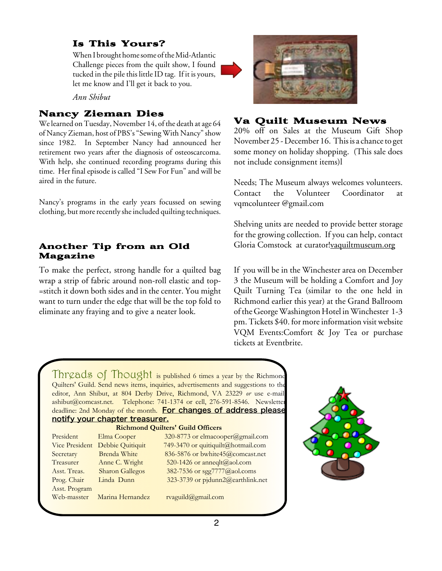# Is This Yours?

When I brought home some of the Mid-Atlantic Challenge pieces from the quilt show, I found tucked in the pile this little ID tag. If it is yours, let me know and I'll get it back to you.

*Ann Shibut*

# Nancy Zieman Dies

We learned on Tuesday, November 14, of the death at age 64 of Nancy Zieman, host of PBS's "Sewing With Nancy" show since 1982. In September Nancy had announced her retirement two years after the diagnosis of osteoscarcoma. With help, she continued recording programs during this time. Her final episode is called "I Sew For Fun" and will be aired in the future.

Nancy's programs in the early years focussed on sewing clothing, but more recently she included quilting techniques.

### Another Tip from an Old Magazine

To make the perfect, strong handle for a quilted bag wrap a strip of fabric around non-roll elastic and top- =stitch it down both sides and in the center. You might want to turn under the edge that will be the top fold to eliminate any fraying and to give a neater look.



## Va Quilt Museum News

20% off on Sales at the Museum Gift Shop November 25 - December 16. This is a chance to get some money on holiday shopping. (This sale does not include consignment items)l

Needs; The Museum always welcomes volunteers. Contact the Volunteer Coordinator at vqmcolunteer @gmail.com

Shelving units are needed to provide better storage for the growing collection. If you can help, contact Gloria Comstock at curator![vaquiltmuseum.org](http://vaquiltmuseum.org)

If you will be in the Winchester area on December 3 the Museum will be holding a Comfort and Joy Quilt Turning Tea (similar to the one held in Richmond earlier this year) at the Grand Ballroom ofthe GeorgeWashington Hotel inWinchester 1-3 pm. Tickets \$40. for more information visit website VQM Events:Comfort & Joy Tea or purchase tickets at Eventbrite.

Threads of Thought is published 6 times a year by the Richmond Quilters' Guild. Send news items, inquiries, advertisements and suggestions to the editor, Ann Shibut, at 804 Derby Drive, Richmond, VA 23229 *or* use e-mail: ashibut@comcast.net. Telephone: 741-1374 or cell, 276-591-8546. Newsletter deadline: 2nd Monday of the month. For changes of address please notify your chapter treasurer.

| <b>Richmond Quilters' Guild Officers</b> |                        |                                    |
|------------------------------------------|------------------------|------------------------------------|
| President                                | Elma Cooper            | 320-8773 or elmacooper@gmail.com   |
| Vice President                           | Debbie Quitiquit       | 749-3470 or quitiquilt@hotmail.com |
| Secretary                                | Brenda White           | 836-5876 or bwhite45@comcast.net   |
| Treasurer                                | Anne C. Wright         | 520-1426 or anneqlt@aol.com        |
| Asst. Treas.                             | <b>Sharon Gallegos</b> | 382-7536 or sgg7777@aol.coms       |
| Prog. Chair                              | Linda Dunn             | 323-3739 or pjdunn2@earthlink.net  |
| Asst. Program                            |                        |                                    |
| Web-masster                              | Marina Hernandez       | rvaguild@gmail.com                 |

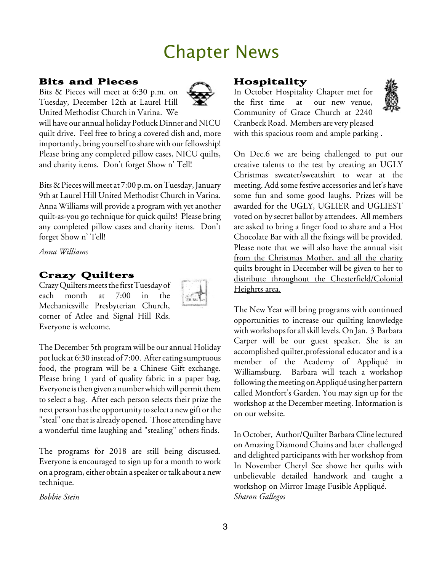# Chapter News

#### Bits and Pieces

Bits & Pieces will meet at 6:30 p.m. on Tuesday, December 12th at Laurel Hill United Methodist Church in Varina. We



will have our annual holiday Potluck Dinner and NICU quilt drive. Feel free to bring a covered dish and, more importantly, bring yourself to share with our fellowship! Please bring any completed pillow cases, NICU quilts, and charity items. Don't forget Show n' Tell!

Bits & Pieces will meet at 7:00 p.m. on Tuesday, January 9th at Laurel Hill United Methodist Church in Varina. Anna Williams will provide a program with yet another quilt-as-you go technique for quick quilts! Please bring any completed pillow cases and charity items. Don't forget Show n' Tell!

*Anna Williams*

# Crazy Quilters

Crazy Quilters meets the first Tuesday of each month at 7:00 in the Mechanicsville Presbyterian Church, corner of Atlee and Signal Hill Rds. Everyone is welcome.



The December 5th program will be our annual Holiday pot luck at 6:30 instead of 7:00. After eating sumptuous food, the program will be a Chinese Gift exchange. Please bring 1 yard of quality fabric in a paper bag. Everyone is then given a number which will permit them to select a bag. After each person selects their prize the next person has the opportunity to select a new gift or the "steal" one that is already opened. Those attending have a wonderful time laughing and "stealing" others finds.

The programs for 2018 are still being discussed. Everyone is encouraged to sign up for a month to work on a program, either obtain a speaker or talk about a new technique.

*Bobbie Stein*

## Hospitality

In October Hospitality Chapter met for the first time at our new venue, Community of Grace Church at 2240 Cranbeck Road. Members are very pleased with this spacious room and ample parking .



On Dec.6 we are being challenged to put our creative talents to the test by creating an UGLY Christmas sweater/sweatshirt to wear at the meeting. Add some festive accessories and let's have some fun and some good laughs. Prizes will be awarded for the UGLY, UGLIER and UGLIEST voted on by secret ballot by attendees. All members are asked to bring a finger food to share and a Hot Chocolate Bar with all the fixings will be provided. Please note that we will also have the annual visit from the Christmas Mother, and all the charity quilts brought in December will be given to her to distribute throughout the Chesterfield/Colonial Heighrts area.

The New Year will bring programs with continued opportunities to increase our quilting knowledge with workshops for all skill levels. On Jan. 3 Barbara Carper will be our guest speaker. She is an accomplished quilter,professional educator and is a member of the Academy of Appliqué in Williamsburg. Barbara will teach a workshop following the meeting on Appliqué using her pattern called Montfort's Garden. You may sign up for the workshop at the December meeting. Information is on our website.

In October, Author/Quilter BarbaraClinelectured on Amazing Diamond Chains and later challenged and delighted participants with her workshop from In November Cheryl See showe her quilts with unbelievable detailed handwork and taught a workshop on Mirror Image Fusible Appliqué. *Sharon Gallegos*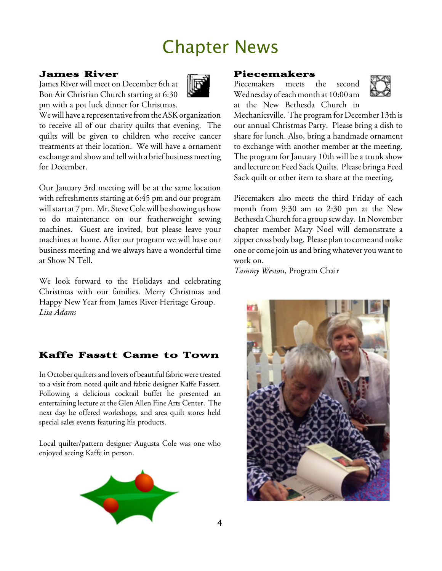# Chapter News

## James River

James River will meet on December 6th at Bon Air Christian Church starting at 6:30 pm with a pot luck dinner for Christmas.



We will have a representative from the ASK organization to receive all of our charity quilts that evening. The quilts will be given to children who receive cancer treatments at their location. We will have a ornament exchange and show and tell with a brief business meeting for December.

Our January 3rd meeting will be at the same location with refreshments starting at 6:45 pm and our program will start at 7 pm. Mr. Steve Cole will be showing us how to do maintenance on our featherweight sewing machines. Guest are invited, but please leave your machines at home. After our program we will have our business meeting and we always have a wonderful time at Show N Tell.

We look forward to the Holidays and celebrating Christmas with our families. Merry Christmas and Happy New Year from James River Heritage Group. *Lisa Adams*

# Kaffe Fasstt Came to Town

In October quilters and lovers of beautiful fabric were treated to a visit from noted quilt and fabric designer Kaffe Fassett. Following a delicious cocktail buffet he presented an entertaining lecture at the Glen Allen Fine Arts Center. The next day he offered workshops, and area quilt stores held special sales events featuring his products.

Local quilter/pattern designer Augusta Cole was one who enjoyed seeing Kaffe in person.



#### Piecemakers

Piecemakers meets the second Wednesday of each month at 10:00 am at the New Bethesda Church in



Mechanicsville. The program for December 13th is our annual Christmas Party. Please bring a dish to share for lunch. Also, bring a handmade ornament to exchange with another member at the meeting. The program for January 10th will be a trunk show and lecture on Feed SackQuilts. Please bring a Feed Sack quilt or other item to share at the meeting.

Piecemakers also meets the third Friday of each month from 9:30 am to 2:30 pm at the New Bethesda Church for a group sew day. In November chapter member Mary Noel will demonstrate a zipper cross body bag. Please plan to come and make one or come join us and bring whatever you want to work on.

*Tammy Westo*n, Program Chair

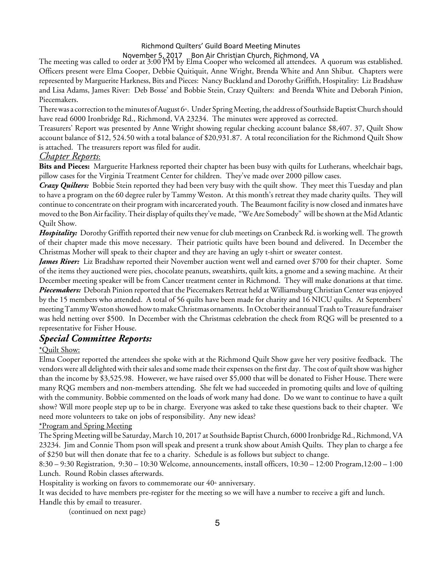#### Richmond Quilters' Guild Board Meeting Minutes

November 5, 2017 Bon Air Christian Church, Richmond, VA

The meeting was called to order at 3:00 PM by Elma Cooper who welcomed all attendees. A quorum was established. Officers present were Elma Cooper, Debbie Quitiquit, Anne Wright, Brenda White and Ann Shibut. Chapters were represented by Marguerite Harkness, Bits and Pieces: Nancy Buckland and Dorothy Griffith, Hospitality: Liz Bradshaw and Lisa Adams, James River: Deb Bosse' and Bobbie Stein, Crazy Quilters: and Brenda White and Deborah Pinion, Piecemakers.

There was a correction to the minutes of August  $6^{\text{a}}$ . Under Spring Meeting, the address of Southside Baptist Church should have read 6000 Ironbridge Rd., Richmond, VA 23234. The minutes were approved as corrected.

Treasurers' Report was presented by Anne Wright showing regular checking account balance \$8,407. 37, Quilt Show account balance of \$12, 524.50 with a total balance of \$20,931.87. A total reconciliation for the Richmond Quilt Show is attached. The treasurers report was filed for audit.

#### *Chapter Reports*:

**Bits and Pieces:** Marguerite Harkness reported their chapter has been busy with quilts for Lutherans, wheelchair bags, pillow cases for the Virginia Treatment Center for children. They've made over 2000 pillow cases.

*Crazy Quilters:* Bobbie Stein reported they had been very busy with the quilt show. They meet this Tuesday and plan to have a program on the 60 degree ruler by Tammy Weston. At this month's retreat they made charity quilts. They will continue to concentrate on their program with incarcerated youth. The Beaumont facility is now closed and inmates have moved to the Bon Air facility. Their display of quilts they've made, "We Are Somebody" will be shown at the Mid Atlantic Quilt Show.

*Hospitality:* Dorothy Griffith reported their new venue for club meetings on Cranbeck Rd. is working well. The growth of their chapter made this move necessary. Their patriotic quilts have been bound and delivered. In December the Christmas Mother will speak to their chapter and they are having an ugly t-shirt or sweater contest.

*James River:* Liz Bradshaw reported their November auction went well and earned over \$700 for their chapter. Some of the items they auctioned were pies, chocolate peanuts, sweatshirts, quilt kits, a gnome and a sewing machine. At their December meeting speaker will be from Cancer treatment center in Richmond. They will make donations at that time. *Piecemakers:* Deborah Pinion reported that the Piecemakers Retreat held at Williamsburg Christian Center wasenjoyed by the 15 members who attended. A total of 56 quilts have been made for charity and 16 NICU quilts. At Septembers' meeting Tammy Weston showed how to make Christmas ornaments. In October their annual Trash to Treasure fundraiser was held netting over \$500. In December with the Christmas celebration the check from RQG will be presented to a representative for Fisher House.

## *Special Committee Reports:*

#### \*Quilt Show:

Elma Cooper reported the attendees she spoke with at the Richmond Quilt Show gave her very positive feedback. The vendors were all delighted with their sales and some made their expenses on the first day. The cost of quilt show was higher than the income by \$3,525.98. However, we have raised over \$5,000 that will be donated to Fisher House. There were many RQG members and non-members attending. She felt we had succeeded in promoting quilts and love of quilting with the community. Bobbie commented on the loads of work many had done. Do we want to continue to have a quilt show? Will more people step up to be in charge. Everyone was asked to take these questions back to their chapter. We need more volunteers to take on jobs of responsibility. Any new ideas?

#### \*Program and Spring Meeting

The Spring Meetingwill be Saturday, March 10, 2017 at Southside BaptistChurch, 6000 Ironbridge Rd., Richmond,VA 23234. Jim and Connie Thom pson will speak and present a trunk show about Amish Quilts. They plan to charge a fee of \$250 but will then donate that fee to a charity. Schedule is as follows but subject to change.

8:30 – 9:30 Registration, 9:30 – 10:30 Welcome, announcements, install officers, 10:30 – 12:00 Program,12:00 – 1:00 Lunch. Round Robin classes afterwards.

Hospitality is working on favors to commemorate our  $40<sup>th</sup>$  anniversary.

It was decided to have members pre-register for the meeting so we will have a number to receive a gift and lunch. Handle this by email to treasurer.

(continued on next page)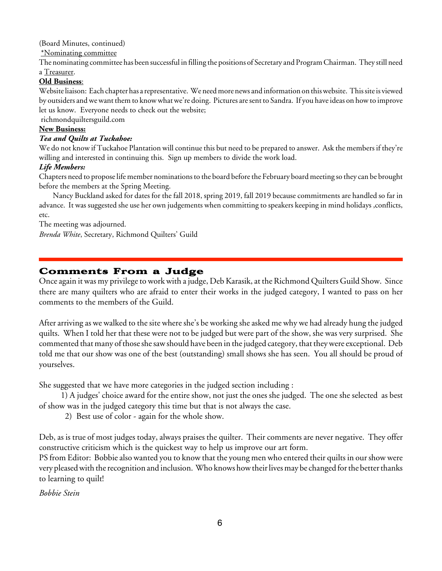(Board Minutes, continued)

\*Nominating committee

The nominating committee has been successful in filling the positions of Secretary and ProgramChairman. They still need a Treasurer.

#### **Old Business**:

Website liaison: Each chapter has a representative. We need more news and information on this website. This site is viewed by outsiders andwewant themto knowwhatwe're doing. Pictures aresent to Sandra. If you haveideas on howto improve let us know. Everyone needs to check out the website;

richmondquiltersguild.com

#### **New Business:**

#### *Tea and Quilts at Tuckahoe:*

We do not know if Tuckahoe Plantation will continue this but need to be prepared to answer. Ask the members if they're willing and interested in continuing this. Sign up members to divide the work load.

#### *Life Members:*

Chapters need to propose life member nominations to the board before the February board meeting so they can be brought before the members at the Spring Meeting.

Nancy Buckland asked for dates for the fall 2018, spring 2019, fall 2019 because commitments are handled so far in advance. It was suggested she use her own judgements when committing to speakers keeping in mind holidays ,conflicts, etc.

The meeting was adjourned.

*Brenda White*, Secretary, Richmond Quilters' Guild

## Comments From a Judge

Once again it was my privilege to work with a judge, Deb Karasik, at the Richmond Quilters Guild Show. Since there are many quilters who are afraid to enter their works in the judged category, I wanted to pass on her comments to the members of the Guild.

After arriving as we walked to the site where she's be working she asked me why we had already hung the judged quilts. When I told her that these were not to be judged but were part of the show, she was very surprised. She commented that many of those she saw should have been in the judged category, that they were exceptional. Deb told me that our show was one of the best (outstanding) small shows she has seen. You all should be proud of yourselves.

She suggested that we have more categories in the judged section including :

1) A judges' choice award for the entire show, not just the ones she judged. The one she selected as best of show was in the judged category this time but that is not always the case.

2) Best use of color - again for the whole show.

Deb, as is true of most judges today, always praises the quilter. Their comments are never negative. They offer constructive criticism which is the quickest way to help us improve our art form.

PS from Editor: Bobbie also wanted you to know that the young men who entered their quilts in our show were very pleased with the recognition and inclusion. Who knows how their lives may be changed for the better thanks to learning to quilt!

*Bobbie Stein*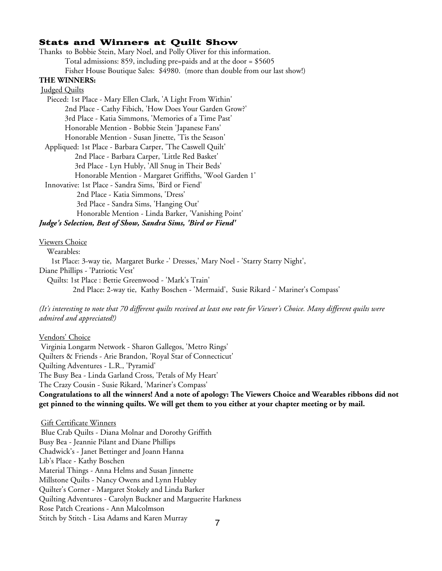#### Stats and Winners at Quilt Show

Thanks to Bobbie Stein, Mary Noel, and Polly Oliver for this information. Total admissions: 859, including pre=paids and at the door = \$5605 Fisher House Boutique Sales: \$4980. (more than double from our last show!) **THE WINNERS:** Judged Quilts Pieced: 1st Place - Mary Ellen Clark, 'A Light From Within' 2nd Place - Cathy Fibich, 'How Does Your Garden Grow?' 3rd Place - Katia Simmons, 'Memories of a Time Past' Honorable Mention - Bobbie Stein 'Japanese Fans' Honorable Mention - Susan Jinette, 'Tis the Season' Appliqued: 1st Place - Barbara Carper, 'The Caswell Quilt' 2nd Place - Barbara Carper, 'Little Red Basket' 3rd Place - Lyn Hubly, 'All Snug in Their Beds' Honorable Mention - Margaret Griffiths, 'Wool Garden 1' Innovative: 1st Place - Sandra Sims, 'Bird or Fiend' 2nd Place - Katia Simmons, 'Dress' 3rd Place - Sandra Sims, 'Hanging Out' Honorable Mention - Linda Barker, 'Vanishing Point' *Judge's Selection, Best of Show, Sandra Sims, 'Bird or Fiend'* Viewers Choice

Wearables:

1st Place: 3-way tie, Margaret Burke -' Dresses,' Mary Noel - 'Starry Starry Night',

Diane Phillips - 'Patriotic Vest'

Quilts: 1st Place : Bettie Greenwood - 'Mark's Train' 2nd Place: 2-way tie, Kathy Boschen - 'Mermaid', Susie Rikard -' Mariner's Compass'

(It's interesting to note that 70 different quilts received at least one vote for Viewer's Choice. Many different quilts were *admired and appreciated!)*

Vendors' Choice Virginia Longarm Network - Sharon Gallegos, 'Metro Rings' Quilters & Friends - Arie Brandon, 'Royal Star of Connecticut' Quilting Adventures - L.R., 'Pyramid' The Busy Bea - Linda Garland Cross, 'Petals of My Heart' The Crazy Cousin - Susie Rikard, 'Mariner's Compass' Congratulations to all the winners! And a note of apology: The Viewers Choice and Wearables ribbons did not get pinned to the winning quilts. We will get them to you either at your chapter meeting or by mail.

Gift Certificate Winners Blue Crab Quilts - Diana Molnar and Dorothy Griffith Busy Bea - Jeannie Pilant and Diane Phillips Chadwick's - Janet Bettinger and Joann Hanna Lib's Place - Kathy Boschen Material Things - Anna Helms and Susan Jinnette Millstone Quilts - Nancy Owens and Lynn Hubley Quilter's Corner - Margaret Stokely and Linda Barker Quilting Adventures - Carolyn Buckner and Marguerite Harkness Rose Patch Creations - Ann Malcolmson Stitch by Stitch - Lisa Adams and Karen Murray